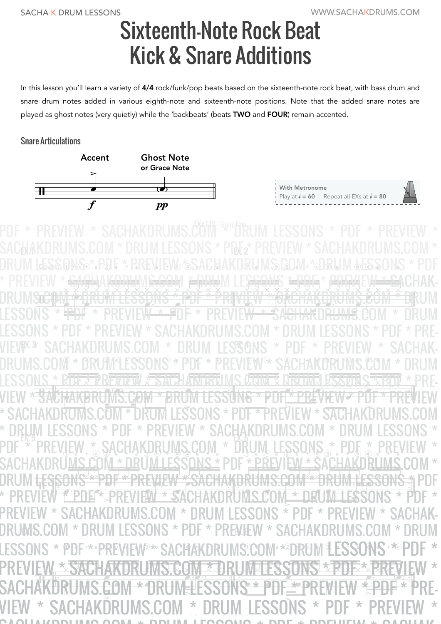## Sixteenth-Note Rock Beat Kick & Snare Additions

In this lesson you'll learn a variety of 4/4 rock/funk/pop beats based on the sixteenth-note rock beat, with bass drum and snare drum notes added in various eighth-note and sixteenth-note positions. Note that the added snare notes are played as ghost notes (very quietly) while the 'backbeats' (beats TWO and FOUR) remain accented.

## Snare Articulations



| With Metronome |                                                           |  |
|----------------|-----------------------------------------------------------|--|
|                | Play at $\sqrt{6}$ = 60 Repeat all EXs at $\sqrt{6}$ = 80 |  |
|                |                                                           |  |

www.sachakwawms<del>.com</del> EX. 1  $\mathbb{W}$   $\mathbb{Z}$   $\mathbb{W}$   $\mathbb{Z}$   $\mathbb{Z}$   $\mathbb{W}$   $\mathbb{Z}$   $\mathbb{Z}$   $\mathbb{W}$ ™ ™ <u>ŴŇŤĠŔŨŔĶĎŔŮŃŠŶŇŤŦ</u> ™ ™ ™  $\mathbb{R}$ <u>ŴĠĸĎIJĿ<sub>ĸ</sub>ĎĎŢŊĿſŴŶŗĎŲĿĸĎĎĘ</u><br>ŶŔŔĨ<del>ŴĸŔĬ</del>ĸŔĸŔĸŔŔ ™ ™ ™ ™ ∭<br>₩ ™ DRUMS COM \*\*\* DRUM HESSONS ™ <u>™ЭЖСПАЛЬКОМЭ ӨӨМ \* ЮР</u><br>™ ™ ™ © © ™ \* ™ ™ ™ ™ ™ © ™ ™ <del>₩¥ĿĿŎŎŨĬŸŎĊŹĶŊſŶĊŶŔĨŶĹŸij</del><br><del>ŎŢŶŎŊſĹŶŎ</del>ĎŨĔŴĿŴŢŶŎŊĔŶ ™  $\mathbb{I}$  $\mathfrak{g}_\mathfrak{D}$  $\overline{P}$  a  $\overline{Q}$ >  $e^+$  a  $(3)$  e + (1)  $\frac{1}{2}$ > AG AKLO & HO  $\partial$   $Q$   $\leftarrow$   $\leftarrow$   $\partial$ > e + (a) <sup>a</sup> ¡<sup>4</sup>  $\overline{\chi}$ /  $\rho \star \Theta$  a  $e$  $e$ **339** |<br>|}<br>|} <sup>e</sup> ¡  $\bullet$  +  $\bullet$ ण<br>र **E \* PREVIEW&**  $*$  section  $*$  $\overline{\overline{\overline{U}}}$ <sup>e</sup> ¡ **NSP** > e + a /  $\frac{1}{2}$   $\frac{1}{2}$   $\frac{1}{2}$   $\frac{1}{2}$   $\frac{1}{2}$   $\frac{1}{2}$  $\overline{\phantom{a}}$ י יעדום ל<br>העניין ישר e + To  $\frac{4}{3}$  $\sqrt{2}$ e divident a la france de l'Alexandre<br>L'alimité de l'Alexandre de l'Alexandre  $\mathbf{P}_{\mathbf{S}}^{(3)}$ |<br>}  $_{e}$   $_{\rm F}$   $_{\rm H}$   $_{\rm H}$   $_{\rm H}$   $_{\rm H}$   $_{\rm H}$   $_{\rm H}$  $\mathcal{L}$ e + a / PBF+\*<sup>a</sup> PRE **EVIEW<sup>3</sup>**  $\geq$ **SACHAN EK DRUMS!** > e e aligna e aligna e aligna e aligna e aligna e aligna e aligna e aligna e aligna e aligna e aligna e aligna e aligna e aligna e aligna e aligna e aligna e aligna e aligna e aligna e aligna e aligna e aligna e aligna e al  $\mathbb{W}$  a  $\star$  2  $\mathbb{U}$  : **PC E M &** > **ESSONS + \*** a > **PAYA** œ œ œ œ <u>। इन्नुमन</u>्नु ॥ <del>धनुव</del> सम्<br>४. ४. ४.४.४.४.४.४ W<del>e</del> œ **E** PITE IVI LLOST PRE <del>≥∞</del><br>₩€₩€ ¿ ¿ ¿ ¿ ¿ ¿ ¿ ¿ HKUIWE œ <u>kitey</u> 2013 : **WAL** ¤e<br>e€ œ **E E E E E E E E E E E E E E E E** WE LE œ **AMURUMS CEINER** œ œ XIXUXIX<br><del>C</del>ennfri <u> įkunz į įspur</u> **EW** x<br>G <u>łakni</u> **EXECUTE** w∾<br><del>∉DNE</del> œ ¿ ¿ ¿ ¿ ¿ ¿ ¿ ¿ L<br>M œ œ e<br>P ¿ ¿ ¿ ¿ ¿ ¿ ¿ ¿ **ALUTTE**<br>Men æ™ <del>™</del> ¿ ¿ ¿ ¿ ¿ ¿ ¿ ¿ ₽¥HY <del>E</del><br>KÖHY c ¿ ¿ ¿ ¿ œ  $2$   $SAB$ œ œ™ œ **AKBRUIWST! DIVE 2 ∂ DRUWE ES Exp** e<br>P **EPREM SONS \* EDE\* 2REV** œ™ œ \*<del>, SACH</del>AV<del>ERH</del>WSSERM FRAUM E\$<del>\$\$W</del>\$ JHPH \* HREMEW + SAC **RITE TERRETTEN SEXUEL ARTIRUM** י∟<br>∏? ™ ™ ™ ™ ™ ™ ™ ™ ™ ™ WYCHOW \* URUMLESSUNS \* P יש<br>™ F \* PREVIEW \* SACHAKURUMS.C ™ ™ **\* STEHATORLIMS COM \* DE** ™ ™ WELL & BULLARY WATER WILL  $\blacksquare$ > INS ^ I\*I<u>ør2</u>^ I\*IKEV<br>}}@!!!!*!!*@@!!!!!@  $\boldsymbol{\theta}$ **CHAKDRUM** MS.C  $G0$  $\mathfrak{f}$  $\parallel$  \*  $*$  DR  $\ddot{\mathbf{f}}$ **JM LESSONS**  $; *$  PDF  $*$  P -<br>P **REV** VIEW  $\tilde{\mathsf{B}}$  $\mathbf{x} \in$ ا<br>|-¡<sup>1</sup> <sup>e</sup> <sup>+</sup> ¡<sup>a</sup> ¡<sup>2</sup>  $\mathbf{P}$ e in<br>Aliakhd ne v II<br>DHM 11. VI<br>10 > ווטט טוווט וועקן טריס<br>חווומה \* המוחדרת ה m<br>e ; > **ENUM** >  $\sim$   $-$ / 1 \* DRUM I **LESSC** É ns \* PDF le \* <mark>Prev</mark>ie >  $N^*$ \* SACH i i ja  $\mathsf{AKU}$ E UMS.COM  $*$ >  $\overline{C}$   $\overline{C}$   $\overline{C}$   $\overline{C}$ œ œ œ œ " DIP → I ªI © PILE Y ®<br>" IZDDLLIM Q. QOL **Lee™ egundan de in G**<br>**Exposition de la Ge** œeeMS ⊭PDE °<br>® *¥* DDEX DDEVI<br>® *¥* DDEX ® IVI **\_PREHL** ©®UIR<br>Weuir 2 \* 92 <u>gn z</u> w<br>Ze w **WE LOOK NO. 3 ZENTAL** œ 2 DF \* PREVIEW \* 3 **LETTE** ∩™ ™<br>PETIME ACHAR BRUWS **EAST!** ں<br>چ <u>egn \*</u>  $M\ddot{\rm s}$ JMSTIJN<br>®MQ<del>×</del>≥P  $\frac{1}{2}$   $\frac{1}{2}$   $\frac{1}{2}$   $\frac{1}{2}$   $\frac{1}{2}$   $\frac{1}{2}$   $\frac{1}{2}$   $\frac{1}{2}$   $\frac{1}{2}$   $\frac{1}{2}$   $\frac{1}{2}$   $\frac{1}{2}$   $\frac{1}{2}$   $\frac{1}{2}$   $\frac{1}{2}$   $\frac{1}{2}$   $\frac{1}{2}$   $\frac{1}{2}$   $\frac{1}{2}$   $\frac{1}{2}$   $\frac{1}{2}$   $\frac{1}{2}$  œ Ļ E **<u>{ONS \* PDF \* PREV</u> PIY W** EW \* S  $\frac{2}{3}$   $\frac{4}{3}$   $\frac{4}{3}$   $\frac{6}{3}$   $\frac{1}{3}$   $\frac{1}{3}$ N EEAKUE<br>REM EE **RLIMS** œ **PUF \*\*\*** .<br>N **KDRU KEVIEW<sup>y w</sup> SAL** ¶AKURUMS.CUM®<br><del>∩M ≉ ∩</del> dl IMTEG WX 3 œ **JNS X ELIKUM ELSSUNS \*\*\*** ™<br>DDEV EX. 2 EX.3 SACHAKDRI MS COM \* DRIIM LEGGE  $\mathbb{E}$ .  $\mathbb{E}$   $\mathbb{E}$   $\mathbb{E}$   $\mathbb{E}$   $\mathbb{E}$   $\mathbb{E}$   $\mathbb{E}$   $\mathbb{E}$   $\mathbb{E}$   $\mathbb{E}$   $\mathbb{E}$   $\mathbb{E}$   $\mathbb{E}$   $\mathbb{E}$   $\mathbb{E}$   $\mathbb{E}$   $\mathbb{E}$   $\mathbb{E}$   $\mathbb{E}$   $\mathbb{E}$   $\mathbb{E}$   $\mathbb{E}$   $\mathbb{E}$   $\mathbb$ IMID'ANI .. DKAM FE99AIJ .. LAL .. LKEN'E SACHAKDRUMS.COM \* DRUM LESSONS \* PDF;\* PREVIEW \* SACHAKDRUMS.COM \* DRUM LESSONS \* PDF \* PREVIEW \* SACHAKDRUMS.COM \* DRUM LESSONS \* PDF \* PREVIEW \* <del>SACH</del>AK<del>DRU</del>MS<del>.COM \* DRU</del>M LES<del>SONS \* PDF \* PREVIEW \* SACHAK-</del> DRUMSTCHW & DRUM LESSONS \* PDF \* PRIMEW \* SACHAKORUMS.COM \* BRUM LESSONS \* <del>IPDF</del> \* PREVIEW<del> \* P</del>DF \* PREVIE<del>W \* SACHAK</del>DR<del>UMS</del>.GOM \* DRUM LESSONS \* PDF \* PREVIEW \* SACHAKDRUMS.COM \* DRUM LESSONS \* PDF \* PRE-VIEW \* SACHAKDRUMS.COM \* DRUM LESSONS \* PDF \* PREVIEW \* SACHAK-DRUMS.COM \* DRUM LESSONS \* PDF \* PREVIEW \* SACHAKDRUMS.COM \* DRUM LESSONS \* RUFZERREVIEW & SACHARDRUMS.COM & DRUMALESSONS \* RUFZER VIEW <del>\* SACHAKDRUMS.COM \* DRUM LESSUNS \* PDF \* PREVIEW \* PRE</del>VIEW \* SACHAKDRUMS.COM \* DRUM LESSONS \* PDF \* PREVIEW \* SACHAKDRUMS.COM \* DRUM LESSONS \* PDF \* PREVIEW \* SACHAKDRUMS.COM \* DRUM LESSONS \* PDF \* PREVIEW \* SACHAKDRUMS.COM \* DRUM LESSONS \* PDF \* PREVIEW \* SACHAKDRUMS.COM \* DRUM LESSONS \* PDF \* PREVIEW \* SACHAKDRUMS.COM \* DRUM <del>LESSONS \*\* PREVIEW \*SACHAKDRUMS.COM \*\* DRUM LESSONS \*</del> PDF \* PREVIEW \* PDF \* PREVIEW \* SACHAKDRUMS.COM \* DRUM LESSONS \* PDF \* PREVIEW \* SACHAKDRUMS.COM \* DRUM LESSONS \* PDF \* PREVIEW \* SACHAK-DRUMS.COM \* DRUM LESSONS \* PDF \* PREVIEW \* SACHAKDRUMS.COM \* DRUM LESSONS \* PDF+\*\*PREVIEW®\*\* SACHAKDRUMS.COM\* \*\*2DRUM LESSONS+\*®PDF \* PREVIEW \* SACHAKDRUMS.COM \* DRUM LESSONS \* PDF \* PREVIEW \* SACHAKDRUMS.COM \* DRUM LESSONS \* PDF \* PREVIEW \* PDF \* PRE VIEW \* SACHAKDRUMS.COM \* DRUM LESSONS \* PDF \* PREVIEW \* SACHAKDRUMS.COM \* DRUM LESSONS \* PDF \* PREVIEW \* SACHAK-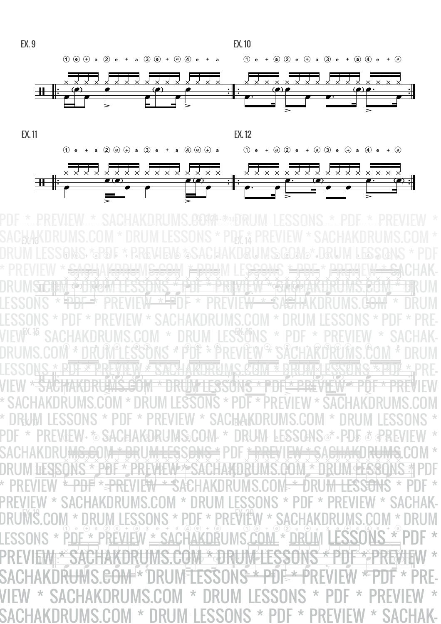

www.sachakterums.com  $\mathbb{W}$   $\rightarrow$   $\mathbb{W}$   $\rightarrow$   $\mathbb{W}$   $\rightarrow$   $\mathbb{W}$ ™ ™ <u>₩₩₩₹ĠŢŗŢŔĎŔŇŇŇŶŇŴ₩</u> <u>╶╳┞Ӿ╴╳╶Ϗ┧ϨϓϦϹϏͿϓϓϓϓϹͰϔϒϏͿϞϏϨϯͶ</u><br>┙┖╆╁╆┲╒┠╁╁╡╺╣╝┲┱╶ϓϓϦ╁╁ϓϓϓ╁ϨϯͶ  $\frac{1}{2}$ <u>, KRIM \* PIKUNA KYSKIKY \* 21.</u><br>NG x dhe x ddiview x dhe x dde ™ **WIS \* POF \* PREVIEW \* SACHA**  $\mathbf{\overline{M}}$ DRÚMS.COM FIRUM LESSONS ™ ™ <u>\*\*SACHAKDRUMS.COM \*\* DI</u> ₽|<br>N JW LESSONS \* PDE \* PDE \* H ™  $\mathbb{I}$  $+$  $+$   $\bullet$  $\bullet$   $\bullet$ > <sup>+</sup>e P  $\bullet$   $\bullet$   $\bullet$  ¡  $\overline{a}$ >  $AB = AKU$  $p$  alg  $\frac{1}{2}$ ⊕ີ້ a $\bigcup_{i=1}^n$ >  $\bullet$   $\bullet$   $\bullet$   $\bullet$  $\frac{1}{2}$ /  $\gamma$  , and  $\gamma_e$ -<br>-<br>- ¡ 月<br>C  $\frac{1}{4}$  $\leq$   $\frac{1}{2}$  ¡ **BREVIT** >  $\widetilde{M^{\oplus_n}}$ ,<br>+) a  $28$  $111$ <u>ခ</u>္<br>(၂၁) > ¡  $\overline{\mathcal{P}}$  $\bar{\epsilon}$ <u>ण</u><br>न  $\sim$   $\sim$ /  $dEW$ +  $\phi$  $\circ$  SAC  $\circ$  $\Rightarrow$   $\Lambda$ 1 (a) >  $\mathbb{R}$  $\mathbb{R} \mathbb{L}$  ¡  $\sqrt{2}$  $\overline{t}$ e;O:W \* DRU:W FE \$201  $\bf S$ ේ > <u> , Pl</u>  $\cdot$ U $\bullet$  $\overline{0}$   $\overline{\Phi}$   $\overline{\Phi}$ .<br>€P RL > /  $\frac{1}{0}$  e  $\frac{1}{0}$ + $\begin{array}{c}\n\text{P} \\
\text{P} \\
\text{P}\n\end{array}$   $\begin{array}{c}\n\text{P} \\
\text{P} \\
\text{P}\n\end{array}$ - 1  $\frac{1}{1}$ a $_{\mathrm{a}}$   $_{\mathrm{a}}$ > e $\frac{1}{2}$  $\frac{1}{4}$   $\frac{4}{9}$   $\frac{6}{9}$ e $\frac{1}{6}$  +  $\ddot{\textbf{r}}$  of the vily a>  $\frac{1}{2}$ l,  $^{\prime\prime}_{\circ}$  +  $M *$ aיוטוש<br>י⊕ ∘ ⊚<br>דחח ≁ + $\mathbb{Z}^n$  $\frac{1}{2}$ > e $\frac{1}{2}$  $\frac{1}{2}$  $\mathbf{r}_{\mathbf{c}}^{\mathbf{d}}$  $\left| \right|$ **PAYA** œ <sub></sub> <u>। समस्त्रा । अन्यम्</u><br>≺ <del>४ ४ % % % % % %</del> **ENDEN** œ **E** PITE IVI LL DE DI S  $X = X_0$ **WWW** " <u>" " " " " " " " " " " " " " "</u> œ œ œ **2015 - 202** œ œ œ<br><del>œ</del> 2 EVIE W \* 87.16 X)<br>C **PER ATADRUMS CEIN &** œ œ <u><sup>≥</sup> XU}W</u> **2 RUAL 4 SECOLU** œ œ œ  $\sqrt{2\mu}$ **<u>/wege</u>** UN<del>S</del> ¥<br>₽ e<br>C **WE WARE ONLY 25** œ **EW YOR** œ ¿ ¿ ¿ ¿ ¿ ¿ ¿ ¿ X<br>H œ ¿ ¿ ¿ ¿ ¿ ¿ ¿ ¿ **RÜM ¢ LIVALE**  $\widetilde{\Omega}$ œ ¿ ¿ ¿ ¿ **e**bill À **AURU APAREL HOLE** W \* E ¿ ¿ ¿ ¿ ¿ ¿ ¿ ¿ œ œ e<br>E e<br>S ™<br>Note  $e^{\frac{1}{2}}$ ڸ<br>┌  $\overline{\mathcal{G}}$  $^{\prime}$   $^{\prime}$   $^{\prime}$   $^{\prime}$   $^{\prime}$   $^{\prime}$   $^{\prime}$   $^{\prime}$   $^{\prime}$   $^{\prime}$   $^{\prime}$   $^{\prime}$   $^{\prime}$   $^{\prime}$   $^{\prime}$   $^{\prime}$   $^{\prime}$   $^{\prime}$   $^{\prime}$   $^{\prime}$   $^{\prime}$   $^{\prime}$   $^{\prime}$   $^{\prime}$   $^{\prime}$   $^{\prime}$   $^{\prime}$   $^{\prime}$   $^{\prime}$   $^{\prime}$   $^{\prime}$   $^{\prime$ ¥PREV EX. 14 EX. 14 EX. 14 EX. 14 EX. 14 EX. 14 EX. 14 **K.B CACLIAKDDHMC COM \* DDHM LECKA EX. IN THE STATE IN THE REVIEW OF STATE IN THE STATE IN THE STATE IN THE STATE IN THE STATE IN THE STATE IN T**  $\mathbb{W}^{\mathbb{S}}$  can  $*$  belim i eccanc  $*$  bdf  $*$  bdf $\mathbb{W}^{\mathbb{S}}$ SACHAKDRUMS.COM \* DRUM LESSONS \* PDF \* PREVIEW \* SACHAKDRUMS.COM \* DRUM LESSONS \* PDF \* PREVIEW \* SACHAKDRUMS.COM \* DRUM LESSONS \* PDF \* PREVIEW \* <del>SACH</del>AK<del>DRU</del>MS<del>.COM \* DRU</del>M LES<del>SONS \* PDF \* PREVIEW \* SACHAK-</del> DRUMSTE DRUM STELLO RUM LESSONS \* PDF \* PREVIEW \* SACHAKUMS FOR UNISTIAL LESSONS \* <del>"PDF \*</del> PREVIEW<del> \* F</del>DF \* PREVIE<del>W \* SACHA</del>KDRUMS.G<del>OM</del> \* DRUM LESSONS \* PDF \* PREVIEW \* SACHAKDRUMS.COM \* DRUM LESSONS \* PDF \* PRE-VIEW \* SACHAKDRUMS.COM \* DRUM LESSONS \* PDF \* PREVIEW \* SACHAK-DRUMS.COM \* DRUM LESSONS \* PDF \* PREVIEW \* SACHAKDRUMS.COM \* DRUM LESSONS \* RDF \* PREVIEW \* SACHAKDRUMS.COM \* DRUM LESSONS \* PRE-VIEW \* SACHAKDRUMS.COM \* DRUM LESSONS \* PDF \* PREVIEW \* PDF \* PREVIEW \* SACHAKDRUMS.COM \* DRUM LESSONS \* PDF \* PREVIEW \* SACHAKDRUMS.COM \* DRUM LESSONS \* PDF \* PREVIEW \* SACHAKDRUMS.COM \* DRUM LESSONS \* PDF \* PREVJEW+ \*& SACHAKDRUMS&COM\* \* DRUM LESSQNS®\* • PD5 & @PREVIEW \* SACHAKDRU<del>MS.C</del>OM \* DRU<del>M LES</del>S<del>ONS \*</del> PDF <del>\* PRE</del>VIE<del>W \* SACHAKDRUMS</del>.COM \* DRUM LESSONS \* PDF \* PREVIEW \* SACHAKDRUMS.COM \* DRUM LESSONS \* PDF \* PREVIEW <del>\* PDF</del> \*<del>JPRE</del>VIE<del>W \* S</del>ACHAKDRUMS.COM \* DRU<del>M LESSONS</del> \* PDF \* PREVIEW \* SACHAKDRUMS.COM \* DRUM LESSONS \* PDF \* PREVIEW \* SACHAK-DRUMS.COM \* DRUM LESSONS \* PDF \* PREVIEW \* SACHAKDRUMS.COM \* DRUM LESSONS \* PDF \* PREVIEW \* SACHAKDRUMS.COM \* DRUM LESSONS \* PDF \* PREVIEW \* SACHAKDRUMS.COM \* DRUM LESSONS \* PDF \* PREVIEW \* SACHAKDR<del>U</del>MS.<del>COM \*</del> DRUM LESSON<del>S \* P</del>DF \* PREVIEW \* PDF \* PRE-VIEW \* SACHAKDRUMS.COM \* DRUM LESSONS \* PDF \* PREVIEW \* SACHAKDRUMS.COM \* DRUM LESSONS \* PDF \* PREVIEW \* SACHAK-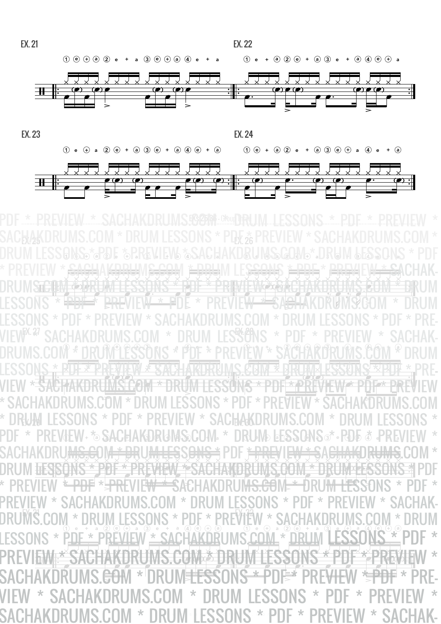



www.sachakterums.com ™ ™  $\mathbf{H}$ <del>™</del> <u>╶╳┞Ӿ╌╳╌╳╁╳┎╳╁╳┢╝╳┈╳╜╳┞Ӽ╓╳┞Ӿ╉Ϩ╁ӥ</u><br>┙┖┹┹╆┲┲┲╂┢╫┥╡┶╝┛┪╶┽┶╒╂╫╓┧┼╘╘  $\frac{1}{2}$ <u>WA \* DUL \* DDLAN EWW DUL \* DDL</u><br>WY \* DUL \* DDLAN EWW DUL \* DDL ™ **WIS \* POF \* PREVIEW \* SACHA** ™ ™ DRÚMS COM EDRUM ELSSONS ™ ™ <u> \*SACHAKDRUMS.COM \* DI</u> ₽|<br>N JM FSSONS \* PDF \* PDF \* H ™  $\mathbf{I}$  $\mathbf{F}^*$  $\circ$   $\circ$   $\circ$  $\frac{1}{2}$ 10 >  $+$   $\sqrt{2}$  $\bullet$ <sup>7</sup> $\bullet$ > A Ja A KLO & DO CLO ¡<sup>+</sup> <sup>a</sup> <sup>3</sup> >  $\frac{1}{2}$  $\overline{\mathcal{H}}$  $\ddot{\phantom{0}}$  $\hat{p}$  , and  $\hat{p}$   $\hat{p}$  $\frac{1}{2}$  $\overline{\overline{n}}$  $R_{\ast}$   $>$   $R_{\ast}$ <u>ण</u><br>२  $F * PRFV$  $F$  $N * Q$  $9$  $\frac{1}{2}$  ¡ <u>ခ</u>္<br>၃၉ > •<br>1 R  $\overline{P}$ <sub>ነ</sub> ହ  $\frac{1}{1}$ / **DEW+ \* & & HCH**  $\frac{1}{2}$   $\left| \frac{1}{2} \right|$ >  $\mathbb{R}$  $\frac{1}{2}$  $\mathbf{F}$  $\mathcal{F}$  $\overline{t}$ e $\bullet$   $\bullet$   $\bullet$   $\bullet$   $\bullet$   $\bullet$  $\Theta$ **<u>st \$SCT</u>**  $\frac{1}{2}$   $\sqrt{2}$ >  $\frac{1}{\sqrt{4}}$  $\frac{1}{2}$  $\bullet$ **F**  $_{\circ}$  pri  $_{\circ}$ / ו וויטוויו<br>⊙ ∉ + ∗ ©<br>רחח ≁ חחח  $\frac{1}{2}$ + $\frac{1}{2}$ <br> $\frac{3}{2}$ > e $\frac{1}{2}$  $\frac{4}{1001111}$ eין<br>ח∕ה ים<br>ההה ļ,  $\frac{1}{2}$ > e ¡ <sup>a</sup> ¡<sup>2</sup> ¡ e4 Y  $\begin{bmatrix} 1 & 1 & 1 \ 1 & 1 & 1 \end{bmatrix}$ > e $\frac{1}{2}$  $\mathbb{R}$  $\ddot{r}$ e $\frac{1}{2}$ +∃<br>⊕<br>★ > ्र ध्यू न<br>∕ ४.४.४ œ œ œ œ œ œ <u>। ਵਰਤ ਦਾ ਪ੍ਰਵਿਚ ਦਾ ਸ਼ਾ</u><br>ਅਤੇ ਨੂੰ ਨਾਲ ਕੀ ਕਿਹਾ œ™ œ œ œ "ГРУЭШ LL∲GЭХ?<br>Хүүх хэлгийн Хруу œ  $\sum_{i=1}^{N}$ <u>ייאויקה</u> <u> "Г. ў т</u> œ  $\widetilde{\mathbb{R}}$ √ Tren œ œ "⊬नान्ध œ 20 · \* · œ œ<br><del>œ</del> **er EVIEW & SYNE!** r<br>P œ **ATADRUMS CEINEX** الا<br>ص œ ew ×<br>exec **EXUAL LESSION EW**  $\sqrt{2}$   $\sqrt{2}$   $\sqrt{2}$ š<br>R ext Pr **<u>/wege</u>** UN<del>S</del> X<br>P e<br>C **WE WARE ONLY 25** œ ŽHŽ œ œ  $\frac{1}{2}$  in Fig.  $\frac{1}{2}$ **RUIVET** œ œ ¿ ¿ ¿ ¿ ¿ ¿ ¿ ¿ œ  $\frac{1}{2}$ **Livre** œ ¿ ¿ ¿ ¿ À **AURU APAREL HOLE THEE** œ ?™ \* PDHY \* ? <u>wee</u> e<br>S œ™  $e^{\frac{1}{2}}$ æ.  $^{\prime}$   $^{\prime}$   $^{\prime}$   $^{\prime}$   $^{\prime}$   $^{\prime}$   $^{\prime}$   $^{\prime}$   $^{\prime}$   $^{\prime}$   $^{\prime}$   $^{\prime}$   $^{\prime}$   $^{\prime}$   $^{\prime}$   $^{\prime}$   $^{\prime}$   $^{\prime}$   $^{\prime}$   $^{\prime}$   $^{\prime}$   $^{\prime}$   $^{\prime}$   $^{\prime}$   $^{\prime}$   $^{\prime}$   $^{\prime}$   $^{\prime}$   $^{\prime}$   $^{\prime}$   $^{\prime}$   $^{\prime$ œ œ ÈŇ, EX. 25 EX. 26 EX. 26 EX. 26 EX. 26 EX. 26 EX. 26 EX. 26  $\mathbb{K}$ з сленлиры імером  $\ast$  ddim i ec $\mathbb{K}$ ві **EX.1M FEODRIJ LINE LIJENIEM. OVAPIJENI**  $\mathbb{W}$ ë com  $\ast$  ddum Leecone  $\ast$  dde  $\ast$  dde $\mathbb{W}$ ië SACHAKDRUMS.COM \* DRUM LESSONS \* PDF \* PREVIEW \* SACHAKDRUMS.COM \* DRUM LESSONS \* PDF \* PREVIEW \* SACHAKDRUMS.COM \* DRUM LESSONS \* PDF \* PREVIEW \* <del>SACH</del>AK<del>DRU</del>MS<del>.COM \* DRU</del>M LES<del>SONS \* PDF \* PREVIEW \* SA</del>CHAK-DRUMSTE DRUMS FESSONS \* PDF \* PREVIEW SKORUMS.COM \* BRUM LESSONS \* <del>"PBF"</del>\* <del>PRE</del>VIEW<del> \* P</del>DE \* PREVIE<del>W \* SACHA</del>KDRUMS@OM \* DRUM LESSONS \* PDF \* PREVIEW \* SACHAKDRUMS.COM \* DRUM LESSONS \* PDF \* PRE-VIEW\*\* SACHAKDRUMS.COM \* DRUM LESSONS \* PDF \* PREVIEW \* SACHAK-DRUMS.COM \* DRUM LESSONS \* PDF \* PREVIEW \* SACHAKDRUMS.COM \* DRUM LESSONS \* RDEXERREVIEW \* SACHAKURUMS.COM EXPREJINALESSONS \* RDE-VIEW \* SACHAKDRUMS.COM \* DRUM LESSONS \* PDF \* PREVIEW \* PDF \* PREVIEW \* SACHAKDRUMS.COM \* DRUM LESSONS \* PDF \* PREVIEW \* SACHAKDRUMS.COM \* DRUM LESSONS \* PDF \* PREVIEW \* SACHAKDRUMS.COM \* DRUM LESSONS \* PDF \* PREVJEW+ \*& SACHAKDRUMS&COM\* \* DRUM& &ESSQNS&\* \* PO\& & \* PREVIEW \* SACHAKDRU<del>MS.C</del>OM \* DRU<del>M LES</del>S<del>ONS \*</del> PDF <del>\* PRE</del>VIE<del>W \* SACHAKDRUMS</del>.COM \* DRUM HESISONS \* PDF \* PREVIEW \* SACHAKDRUMS.COM \* DRUM LESSONS \* PDF \* PREVIEW <del>\* PDF</del> \*<del>JPRE</del>VIE<del>W \* S</del>ACHAKDRUM<del>S.CO</del>M \* DRU<del>M LES</del>SONS \* PDF \* PREVIEW \* SACHAKDRUMS.COM \* DRUM LESSONS \* PDF \* PREVIEW \* SACHAK-DRUMS.COM \* DRUM LESSONS \* PDF \* PREVIEW \* SACHAKDRUMS.COM \* DRUM LESSONS \* PDF \* PREVIEW \* SACHAKDRUMS.COM \* DRUM LESSONS \* PDF \* PREVIEW \* SACHAKDRUMS.COM \* DRUM LESSONS \* PDF \* PREVIEW \* SACHAKDRUMS.<del>CO</del>M \* DRUM LESSONS \* PDF \* PRE<del>VIE</del>W \* PPDF \* PRE-VIEW \* SACHAKDRUMS.COM \* DRUM LESSONS \* PDF \* PREVIEW \* SACHAKDRUMS.COM \* DRUM LESSONS \* PDF \* PREVIEW \* SACHAK-